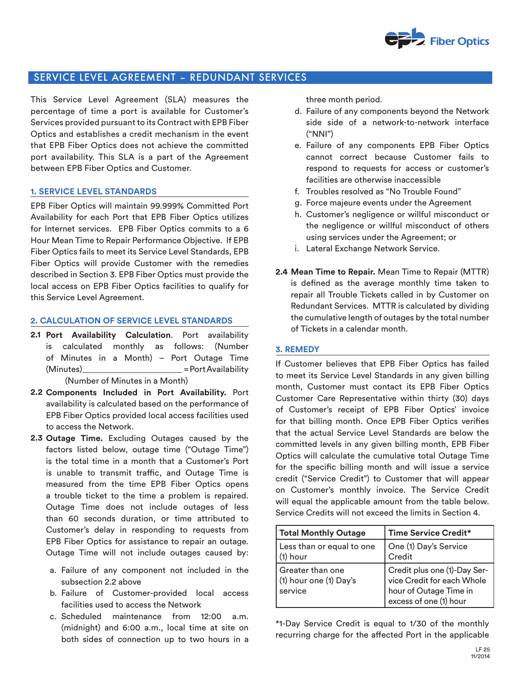

# SERVICE LEVEL AGREEMENT – REDUNDANT SERVICES

This Service Level Agreement (SLA) measures the percentage of time a port is available for Customer's Services provided pursuant to its Contract with EPB Fiber Optics and establishes a credit mechanism in the event that EPB Fiber Optics does not achieve the committed port availability. This SLA is a part of the Agreement between EPB Fiber Optics and Customer.

## **1. SERVICE LEVEL STANDARDS**

EPB Fiber Optics will maintain 99.999% Committed Port Availability for each Port that EPB Fiber Optics utilizes for Internet services. EPB Fiber Optics commits to a 6 Hour Mean Time to Repair Performance Objective. If EPB Fiber Optics fails to meet its Service Level Standards, EPB Fiber Optics will provide Customer with the remedies described in Section 3. EPB Fiber Optics must provide the local access on EPB Fiber Optics facilities to qualify for this Service Level Agreement.

### **2. CALCULATION OF SERVICE LEVEL STANDARDS**

- **Port Availability Calculation**. Port availability **2.1** is calculated monthly as follows: (Number of Minutes in a Month) – Port Outage Time (Minutes) = Port Availability (Number of Minutes in a Month)
- **Components Included in Port Availability.** Port **2.2** availability is calculated based on the performance of EPB Fiber Optics provided local access facilities used to access the Network.
- **Outage Time.** Excluding Outages caused by the **2.3** factors listed below, outage time ("Outage Time") is the total time in a month that a Customer's Port is unable to transmit traffic, and Outage Time is measured from the time EPB Fiber Optics opens a trouble ticket to the time a problem is repaired. Outage Time does not include outages of less than 60 seconds duration, or time attributed to Customer's delay in responding to requests from EPB Fiber Optics for assistance to repair an outage. Outage Time will not include outages caused by:
	- a. Failure of any component not included in the subsection 2.2 above
	- b. Failure of Customer-provided local access facilities used to access the Network
	- c. Scheduled maintenance from 12:00 a.m. (midnight) and 6:00 a.m., local time at site on both sides of connection up to two hours in a

three month period.

- d. Failure of any components beyond the Network side side of a network-to-network interface ("NNI")
- e. Failure of any components EPB Fiber Optics cannot correct because Customer fails to respond to requests for access or customer's facilities are otherwise inaccessible
- f. Troubles resolved as "No Trouble Found"
- g. Force majeure events under the Agreement
- h. Customer's negligence or willful misconduct or the negligence or willful misconduct of others using services under the Agreement; or
- i. Lateral Exchange Network Service.
- **Mean Time to Repair.** Mean Time to Repair (MTTR) **2.4** is defined as the average monthly time taken to repair all Trouble Tickets called in by Customer on Redundant Services. MTTR is calculated by dividing the cumulative length of outages by the total number of Tickets in a calendar month.

#### **3. REMEDY**

If Customer believes that EPB Fiber Optics has failed to meet its Service Level Standards in any given billing month, Customer must contact its EPB Fiber Optics Customer Care Representative within thirty (30) days of Customer's receipt of EPB Fiber Optics' invoice for that billing month. Once EPB Fiber Optics verifies that the actual Service Level Standards are below the committed levels in any given billing month, EPB Fiber Optics will calculate the cumulative total Outage Time for the specific billing month and will issue a service credit ("Service Credit") to Customer that will appear on Customer's monthly invoice. The Service Credit will equal the applicable amount from the table below. Service Credits will not exceed the limits in Section 4.

| <b>Total Monthly Outage</b>                             | Time Service Credit*                                                                                           |
|---------------------------------------------------------|----------------------------------------------------------------------------------------------------------------|
| Less than or equal to one<br>(1) hour                   | One (1) Day's Service<br>Credit                                                                                |
| l Greater than one<br>(1) hour one (1) Day's<br>service | Credit plus one (1)-Day Ser-<br>vice Credit for each Whole<br>hour of Outage Time in<br>excess of one (1) hour |

\*1-Day Service Credit is equal to 1/30 of the monthly recurring charge for the affected Port in the applicable